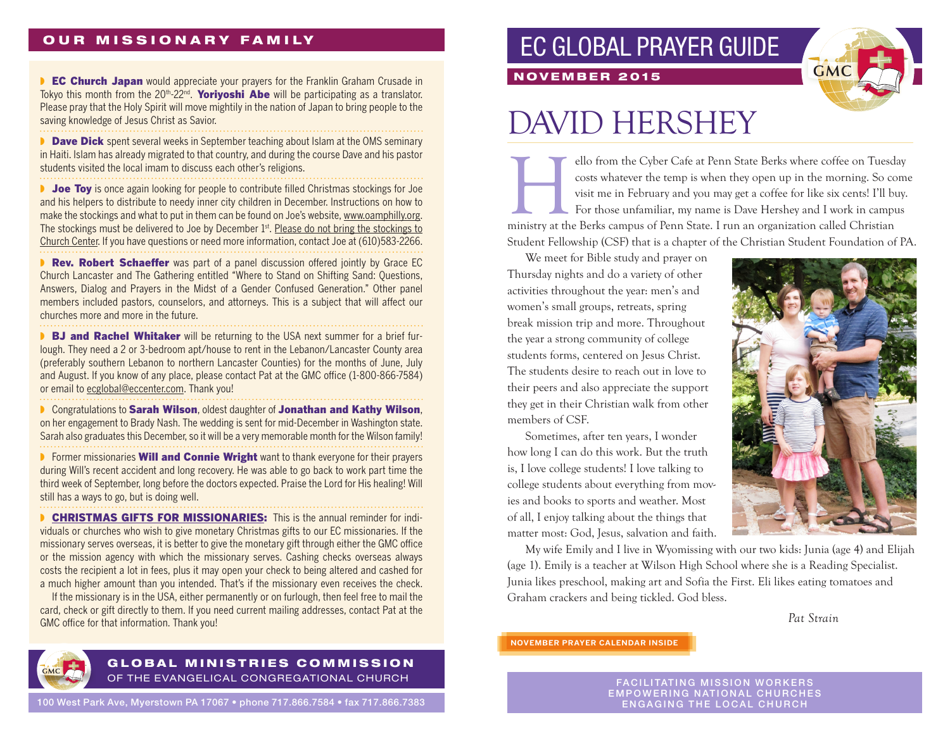## **OUR MISSIONARY FAMILY**

**• EC Church Japan** would appreciate your prayers for the Franklin Graham Crusade in Tokyo this month from the  $20<sup>th</sup> - 22<sup>nd</sup>$ . Yoriyoshi Abe will be participating as a translator. Please pray that the Holy Spirit will move mightily in the nation of Japan to bring people to the saving knowledge of Jesus Christ as Savior.

**Dave Dick** spent several weeks in September teaching about Islam at the OMS seminary in Haiti. Islam has already migrated to that country, and during the course Dave and his pastor students visited the local imam to discuss each other's religions.

**■ Joe Toy** is once again looking for people to contribute filled Christmas stockings for Joe and his helpers to distribute to needy inner city children in December. Instructions on how to make the stockings and what to put in them can be found on Joe's website, www.oamphilly.org. The stockings must be delivered to Joe by December 1st. Please do not bring the stockings to Church Center. If you have questions or need more information, contact Joe at (610)583-2266.

■ Rev. Robert Schaeffer was part of a panel discussion offered jointly by Grace EC Church Lancaster and The Gathering entitled "Where to Stand on Shifting Sand: Questions, Answers, Dialog and Prayers in the Midst of a Gender Confused Generation." Other panel members included pastors, counselors, and attorneys. This is a subject that will affect our churches more and more in the future.

**BJ and Rachel Whitaker** will be returning to the USA next summer for a brief furlough. They need a 2 or 3-bedroom apt/house to rent in the Lebanon/Lancaster County area (preferably southern Lebanon to northern Lancaster Counties) for the months of June, July and August. If you know of any place, please contact Pat at the GMC office (1-800-866-7584) or email to ecglobal@eccenter.com. Thank you!

■ Congratulations to Sarah Wilson, oldest daughter of Jonathan and Kathy Wilson, on her engagement to Brady Nash. The wedding is sent for mid-December in Washington state. Sarah also graduates this December, so it will be a very memorable month for the Wilson family!

**▶** Former missionaries **Will and Connie Wright** want to thank everyone for their prayers during Will's recent accident and long recovery. He was able to go back to work part time the third week of September, long before the doctors expected. Praise the Lord for His healing! Will still has a ways to go, but is doing well.

**• CHRISTMAS GIFTS FOR MISSIONARIES:** This is the annual reminder for individuals or churches who wish to give monetary Christmas gifts to our EC missionaries. If the missionary serves overseas, it is better to give the monetary gift through either the GMC office or the mission agency with which the missionary serves. Cashing checks overseas always costs the recipient a lot in fees, plus it may open your check to being altered and cashed for a much higher amount than you intended. That's if the missionary even receives the check.

If the missionary is in the USA, either permanently or on furlough, then feel free to mail the card, check or gift directly to them. If you need current mailing addresses, contact Pat at the GMC office for that information. Thank you!

## EC GLOBAL PRAYER GUIDE



# DAVID HERSHEY

NOVEMBER 2015

ello from the Cyber Cafe at Penn State Berks where coffee on Tuesday costs whatever the temp is when they open up in the morning. So commus visit me in February and you may get a coffee for like six cents! I'll buy. For th costs whatever the temp is when they open up in the morning. So come visit me in February and you may get a coffee for like six cents! I'll buy. For those unfamiliar, my name is Dave Hershey and I work in campus Student Fellowship (CSF) that is a chapter of the Christian Student Foundation of PA.

We meet for Bible study and prayer on Thursday nights and do a variety of other activities throughout the year: men's and women's small groups, retreats, spring break mission trip and more. Throughout the year a strong community of college students forms, centered on Jesus Christ. The students desire to reach out in love to their peers and also appreciate the support they get in their Christian walk from other members of CSF.

Sometimes, after ten years, I wonder how long I can do this work. But the truth is, I love college students! I love talking to college students about everything from movies and books to sports and weather. Most of all, I enjoy talking about the things that matter most: God, Jesus, salvation and faith.



My wife Emily and I live in Wyomissing with our two kids: Junia (age 4) and Elijah (age 1). Emily is a teacher at Wilson High School where she is a Reading Specialist. Junia likes preschool, making art and Sofia the First. Eli likes eating tomatoes and Graham crackers and being tickled. God bless.

*Pat Strain*

**NOVEMBER PRAYER CALENDAR INSIDE**

FACILITATING MISSION WORKERS EMPOWERING NATIONAL CHURCHES ENGAGING THE LOCAL CHURCH

### GLOBAL MINISTRIES COMMISSION OF THE EVANGELICAL CONGREGATIONAL CHURCH